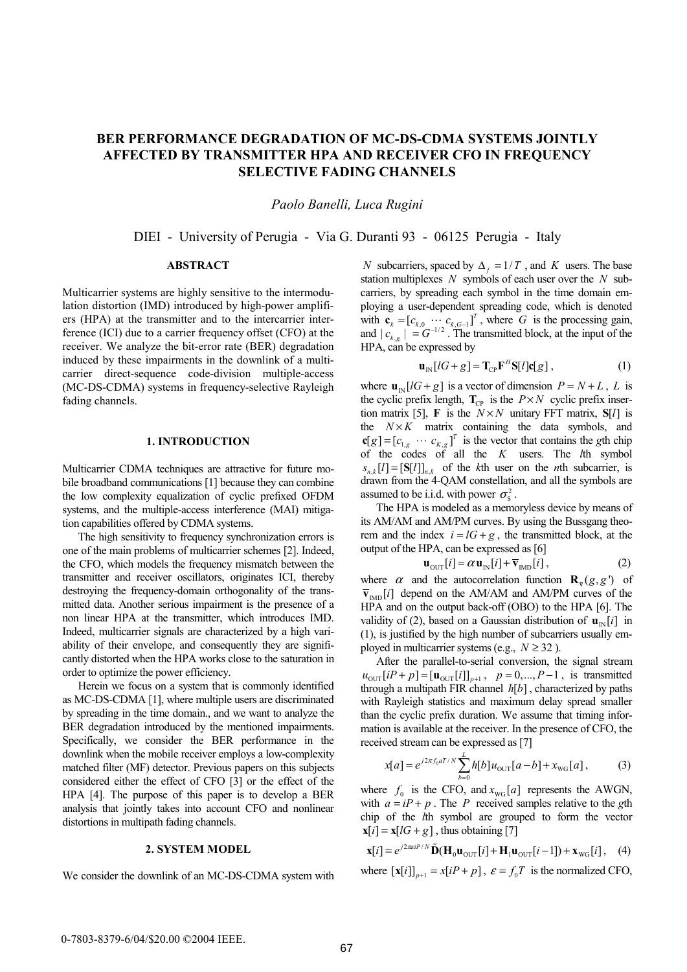# **BER PERFORMANCE DEGRADATION OF MC-DS-CDMA SYSTEMS JOINTLY AFFECTED BY TRANSMITTER HPA AND RECEIVER CFO IN FREQUENCY SELECTIVE FADING CHANNELS**

*Paolo Banelli, Luca Rugini* 

# DIEI - University of Perugia - Via G. Duranti 93 - 06125 Perugia - Italy

## **ABSTRACT**

Multicarrier systems are highly sensitive to the intermodulation distortion (IMD) introduced by high-power amplifiers (HPA) at the transmitter and to the intercarrier interference (ICI) due to a carrier frequency offset (CFO) at the receiver. We analyze the bit-error rate (BER) degradation induced by these impairments in the downlink of a multicarrier direct-sequence code-division multiple-access (MC-DS-CDMA) systems in frequency-selective Rayleigh fading channels.

# **1. INTRODUCTION**

Multicarrier CDMA techniques are attractive for future mobile broadband communications [1] because they can combine the low complexity equalization of cyclic prefixed OFDM systems, and the multiple-access interference (MAI) mitigation capabilities offered by CDMA systems.

The high sensitivity to frequency synchronization errors is one of the main problems of multicarrier schemes [2]. Indeed, the CFO, which models the frequency mismatch between the transmitter and receiver oscillators, originates ICI, thereby destroying the frequency-domain orthogonality of the transmitted data. Another serious impairment is the presence of a non linear HPA at the transmitter, which introduces IMD. Indeed, multicarrier signals are characterized by a high variability of their envelope, and consequently they are significantly distorted when the HPA works close to the saturation in order to optimize the power efficiency.

Herein we focus on a system that is commonly identified as MC-DS-CDMA [1], where multiple users are discriminated by spreading in the time domain., and we want to analyze the BER degradation introduced by the mentioned impairments. Specifically, we consider the BER performance in the downlink when the mobile receiver employs a low-complexity matched filter (MF) detector. Previous papers on this subjects considered either the effect of CFO [3] or the effect of the HPA [4]. The purpose of this paper is to develop a BER analysis that jointly takes into account CFO and nonlinear distortions in multipath fading channels.

#### **2. SYSTEM MODEL**

We consider the downlink of an MC-DS-CDMA system with

*N* subcarriers, spaced by  $\Delta_f = 1/T$ , and *K* users. The base station multiplexes *N* symbols of each user over the *N* subcarriers, by spreading each symbol in the time domain employing a user-dependent spreading code, which is denoted with  $\mathbf{c}_k = [c_{k,0} \cdots c_{k, G-1}]^T$ , where *G* is the processing gain, and  $|c_{k,g}| = G^{-1/2}$ . The transmitted block, at the input of the HPA, can be expressed by

$$
\mathbf{u}_{\text{IN}}[lG+g] = \mathbf{T}_{\text{CP}} \mathbf{F}^H \mathbf{S}[l] \mathbf{c}[g],\tag{1}
$$

where  $\mathbf{u}_{N} [ lG + g ]$  is a vector of dimension  $P = N + L$ , *L* is the cyclic prefix length,  $\mathbf{T}_{\text{CP}}$  is the  $P \times N$  cyclic prefix insertion matrix [5], **F** is the  $N \times N$  unitary FFT matrix, S[1] is the  $N \times K$  matrix containing the data symbols, and  $\mathbf{c}[g] = [c_{1,g} \cdots c_{K,g}]^T$  is the vector that contains the *g*th chip of the codes of all the *K* users. The *l*th symbol  $s_{n,k}[l] = [S[l]]_{n,k}$  of the *k*th user on the *n*th subcarrier, is drawn from the 4-QAM constellation, and all the symbols are assumed to be i.i.d. with power  $\sigma_s^2$ .

The HPA is modeled as a memoryless device by means of its AM/AM and AM/PM curves. By using the Bussgang theorem and the index  $i = lG + g$ , the transmitted block, at the output of the HPA, can be expressed as [6]

$$
\mathbf{u}_{\text{OUT}}[i] = \alpha \mathbf{u}_{\text{IN}}[i] + \overline{\mathbf{v}}_{\text{IMD}}[i],\tag{2}
$$

where  $\alpha$  and the autocorrelation function  $\mathbf{R}_{\overline{x}}(g, g')$  of  $\overline{\mathbf{v}}_{\text{non}}[i]$  depend on the AM/AM and AM/PM curves of the HPA and on the output back-off (OBO) to the HPA [6]. The validity of (2), based on a Gaussian distribution of  $\mathbf{u}_{N}[i]$  in (1), is justified by the high number of subcarriers usually employed in multicarrier systems (e.g.,  $N \ge 32$ ).

After the parallel-to-serial conversion, the signal stream  $u_{\text{out}}[iP + p] = [\mathbf{u}_{\text{out}}[i]]_{n+1}, p = 0, ..., P - 1$ , is transmitted through a multipath FIR channel  $h[b]$ , characterized by paths with Rayleigh statistics and maximum delay spread smaller than the cyclic prefix duration. We assume that timing information is available at the receiver. In the presence of CFO, the received stream can be expressed as [7]

$$
x[a] = e^{j2\pi f_0 aT/N} \sum_{b=0}^{L} h[b] u_{\text{OUT}}[a-b] + x_{\text{WG}}[a], \tag{3}
$$

where  $f_0$  is the CFO, and  $x_{\text{wc}}[a]$  represents the AWGN, with  $a = iP + p$ . The *P* received samples relative to the *g*th chip of the *l*th symbol are grouped to form the vector  $\mathbf{x}[i] = \mathbf{x}[IG + g]$ , thus obtaining [7]

$$
\mathbf{x}[i] = e^{j2\pi\epsilon i P/N} \tilde{\mathbf{D}} (\mathbf{H}_0 \mathbf{u}_{\text{OUT}}[i] + \mathbf{H}_1 \mathbf{u}_{\text{OUT}}[i-1]) + \mathbf{x}_{\text{WG}}[i], \quad (4)
$$

where  $[\mathbf{x}[i]]_{n+1} = x[iP + p]$ ,  $\varepsilon = f_0T$  is the normalized CFO,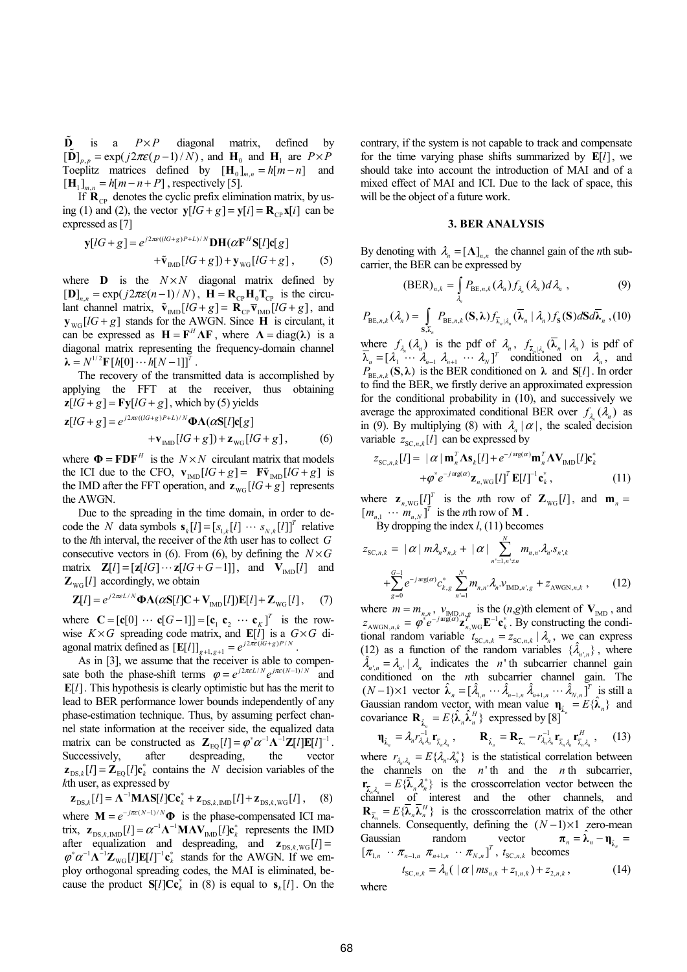$\tilde{\mathbf{D}}$  is a  $P \times P$  diagonal matrix, defined by  $\left[\mathbf{D}\right]_{p,p} = \exp(j2\pi\varepsilon(p-1)/N)$ , and  $\mathbf{H}_0$  and  $\mathbf{H}_1$  are  $P \times P$ Toeplitz matrices defined by  $[\mathbf{H}_0]_{m,n} = h[m - n]$  and  $[\mathbf{H}_{1}]_{m,n} = h[m-n+P]$ , respectively [5].

If  $\mathbf{R}_{\text{CD}}$  denotes the cyclic prefix elimination matrix, by using (1) and (2), the vector  $y[lG + g] = y[i] = R_{\text{co}} x[i]$  can be expressed as [7]

$$
\mathbf{y}[IG+g] = e^{j2\pi\epsilon((IG+g)^{p+L})/N} \mathbf{DH}(\alpha \mathbf{F}^{H} \mathbf{S}[I] \mathbf{c}[g] \n+ \tilde{\mathbf{v}}_{\text{IMD}}[IG+g]) + \mathbf{y}_{\text{WG}}[IG+g], \quad (5)
$$

where **D** is the  $N \times N$  diagonal matrix defined by  $[\mathbf{D}]_{n,n} = \exp(j2\pi\varepsilon(n-1)/N)$ ,  $\mathbf{H} = \mathbf{R}_{CP} \mathbf{H}_0 \mathbf{T}_{CP}$  is the circulant channel matrix,  $\tilde{\mathbf{v}}_{\text{IND}}[lG+g] = \mathbf{R}_{\text{CP}}\overline{\mathbf{v}}_{\text{IMD}}[lG+g]$ , and  $y_{\text{wc}}[lG+g]$  stands for the AWGN. Since **H** is circulant, it can be expressed as  $H = F^H \Lambda F$ , where  $\Lambda = diag(\lambda)$  is a diagonal matrix representing the frequency-domain channel  $\lambda = N^{1/2} \mathbf{F} [h[0] \cdots h[N-1]]^T$ .

The recovery of the transmitted data is accomplished by applying the FFT at the receiver, thus obtaining  $z[lG + g] = \text{Fy}[lG + g]$ , which by (5) yields

$$
\mathbf{z}[IG+g] = e^{j2\pi\epsilon((IG+g)P+L)/N}\mathbf{\Phi}\Lambda(\alpha S[I]\mathbf{c}[g] + \mathbf{v}_{\text{IMD}}[IG+g]) + \mathbf{z}_{\text{WG}}[IG+g],
$$
 (6)

where  $\mathbf{\Phi} = \mathbf{FDF}^H$  is the  $N \times N$  circulant matrix that models the ICI due to the CFO,  $\mathbf{v}_{\text{IND}}[lG+g] = \mathbf{F}\tilde{\mathbf{v}}_{\text{IND}}[lG+g]$  is the IMD after the FFT operation, and  $z_{\text{wc}}$  [ $lG + g$ ] represents the AWGN.

Due to the spreading in the time domain, in order to decode the *N* data symbols  $\mathbf{s}_k[l] = [s_{1,k}[l] \cdots s_{N,k}[l]]^T$  relative to the *l*th interval, the receiver of the *k*th user has to collect *G* consecutive vectors in (6). From (6), by defining the  $N \times G$ matrix  $\mathbf{Z}[l] = [\mathbf{z}[lG] \cdots \mathbf{z}[lG + G - 1]]$ , and  $\mathbf{V}_{\text{IMD}}[l]$  and  $\mathbf{Z}_{\text{wc}}[l]$  accordingly, we obtain

$$
\mathbf{Z}[l] = e^{j2\pi\epsilon L/N} \mathbf{\Phi} \Lambda(\alpha \mathbf{S}[l] \mathbf{C} + \mathbf{V}_{\text{IMD}}[l]) \mathbf{E}[l] + \mathbf{Z}_{\text{WG}}[l], \quad (7)
$$

where  $\mathbf{C} = [\mathbf{c}[0] \cdots \mathbf{c}[G-1]] = [\mathbf{c}_1 \mathbf{c}_2 \cdots \mathbf{c}_K]^T$  is the rowwise  $K \times G$  spreading code matrix, and  $\mathbb{E}[l]$  is a  $G \times G$  diagonal matrix defined as  $[\mathbf{E}[l]]_{g+1, g+1} = e^{j2\pi\epsilon((G+g)P/N)}$ .

As in [3], we assume that the receiver is able to compensate both the phase-shift terms  $\varphi = e^{j2\pi\epsilon L/N} e^{j\pi\epsilon (N-1)/N}$  and **E**[1]. This hypothesis is clearly optimistic but has the merit to lead to BER performance lower bounds independently of any phase-estimation technique. Thus, by assuming perfect channel state information at the receiver side, the equalized data matrix can be constructed as  $\mathbf{Z}_{\text{EQ}}[l] = \varphi^* \alpha^{-1} \Lambda^{-1} \mathbf{Z}[l] \mathbf{E}[l]^{-1}$ . Successively, after despreading, the vector  $\mathbf{z}_{\text{DS},k}[l] = \mathbf{Z}_{\text{EO}}[l] \mathbf{c}_k^*$  contains the *N* decision variables of the *<sup>k</sup>*th user, as expressed by 1

 $\mathbf{Z}_{\text{DS}, k}[l] = \mathbf{\Lambda}^{-1} \mathbf{M} \mathbf{\Lambda} \mathbf{S}[l] \mathbf{C} \mathbf{c}_{k}^{*} + \mathbf{Z}_{\text{DS}, k, \text{MD}}[l] + \mathbf{Z}_{\text{DS}, k, \text{WG}}[l]$ , where  $M = e^{-j\pi\varepsilon (N-1)/N} \Phi$  is the phase-compensated ICI matrix,  $\mathbf{z}_{DS,k,\text{IMD}}[l] = \alpha^{-1} \mathbf{\Lambda}^{-1} \mathbf{M} \mathbf{\Lambda} \mathbf{V}_{\text{IMD}}[l] \mathbf{c}_k^*$  represents the IMD after equalization and despreading, and  $\mathbf{z}_{DS k \text{ WG}}[l] =$  $\varphi^* \alpha^{-1} \mathbf{\Lambda}^{-1} \mathbf{Z}_{\text{wc}} [l] \mathbf{E}[l]^{-1} \mathbf{c}_k^*$  stands for the AWGN. If we employ orthogonal spreading codes, the MAI is eliminated, because the product  $S[l]$   $Cc_{\iota}^*$  in (8) is equal to  $S_{\iota}[l]$ . On the

contrary, if the system is not capable to track and compensate for the time varying phase shifts summarized by  $E[l]$ , we should take into account the introduction of MAI and of a mixed effect of MAI and ICI. Due to the lack of space, this will be the object of a future work.

#### **3. BER ANALYSIS**

By denoting with  $\lambda_n = [\Lambda]_{n,n}$  the channel gain of the *n*th subcarrier, the BER can be expressed by

$$
(\text{BER})_{n,k} = \int_{\lambda_n} P_{\text{BE},n,k}(\lambda_n) f_{\lambda_n}(\lambda_n) d\lambda_n , \qquad (9)
$$

$$
P_{\mathrm{BE},n,k}(\lambda_n) = \int_{\mathrm{S},\bar{\lambda}_n} P_{\mathrm{BE},n,k}(\mathrm{S},\lambda) f_{\bar{\lambda}_n|\lambda_n}(\bar{\lambda}_n \mid \lambda_n) f_{\mathrm{S}}(\mathrm{S}) d\mathrm{S} d\bar{\lambda}_n, (10)
$$

where  $f_{\lambda_n}(\lambda_n)$  is the pdf of  $\lambda_n$ ,  $f_{\overline{\lambda}_n|\lambda_n}(\overline{\lambda}_n | \lambda_n)$  is pdf of  $\overline{\lambda}_n = [\lambda_1 \cdots \lambda_{n-1} \lambda_{n+1} \cdots \lambda_N]^T$  conditioned on  $\lambda_n$ , and  $P_{BE, n, k}(\mathbf{S}, \lambda)$  is the BER conditioned on  $\lambda$  and  $\mathbf{S}[l]$ . In order to find the BER, we firstly derive an approximated expression for the conditional probability in (10), and successively we average the approximated conditional BER over  $f_i$  ( $\lambda_n$ ) as in (9). By multiplying (8) with  $\lambda_n | \alpha |$ , the scaled decision variable  $z_{SC, n, k}[l]$  can be expressed by

$$
z_{\text{SC},n,k}[l] = |\alpha| \mathbf{m}_n^T \mathbf{\Lambda} \mathbf{s}_k[l] + e^{-j \arg(\alpha)} \mathbf{m}_n^T \mathbf{\Lambda} \mathbf{V}_{\text{IMD}}[l] \mathbf{c}_k^*
$$

$$
+ \varphi^* e^{-j \arg(\alpha)} \mathbf{z}_{n,\text{WG}}[l]^T \mathbf{E}[l]^{-1} \mathbf{c}_k^*,
$$
(11)

where  $\mathbf{z}_{n, \text{wG}}[l]$ <sup>*T*</sup> is the *n*th row of  $\mathbf{Z}_{\text{wG}}[l]$ , and  $\mathbf{m}_n =$  $[m_{n_1} \cdots m_{n_N}]^T$  is the *n*th row of **M**.

By dropping the index *l*, (11) becomes

$$
z_{SC,n,k} = |\alpha| m \lambda_n s_{n,k} + |\alpha| \sum_{n'=1, n'\neq n}^{N} m_{n,n} \lambda_n s_{n,k} + \sum_{g=0}^{G-1} e^{-j \arg(\alpha)} c_{k,g}^* \sum_{n'=1}^{N} m_{n,n} \lambda_n v_{\text{IMD},n',g} + z_{\text{AWGN},n,k} , \qquad (12)
$$

where  $m = m_{n,n}$ ,  $v_{N,D,n,g}$  is the  $(n,g)$ th element of  $V_{N,D}$ , and  $z_{\text{AWGN},n,k} = \varphi^* e^{-j \arg(\alpha)} \mathbf{z}_{n,\text{WG}}^T \mathbf{E}^{-1} \mathbf{c}_k^*$ . By constructing the conditional random variable  $t_{SC, n, k} = z_{SC, n, k} | \lambda_n$ , we can express (12) as a function of the random variables  $\{\lambda_{n',n}\}\,$ , where  $\lambda_{n,n} = \lambda_{n} | \lambda_n$  indicates the *n*'th subcarrier channel gain conditioned on the *n*th subcarrier channel gain. The  $(N-1) \times 1$  vector  $\hat{\lambda}_n = [\hat{\lambda}_{1,n} \cdots \hat{\lambda}_{n-1,n} \hat{\lambda}_{n+1,n} \cdots \hat{\lambda}_{N,n}]^T$  is still a Gaussian random vector, with mean value  $\mathbf{n}_{\hat{n}} = E \{\hat{\boldsymbol{\lambda}}_n\}$  and covariance  $\mathbf{R}_{\hat{\lambda}_n} = E\{\hat{\lambda}_n \hat{\lambda}_n^H\}$  expressed by  $[8]$ 

$$
\mathbf{\eta}_{\hat{\lambda}_n} = \lambda_n r_{\lambda_n \lambda_n}^{-1} \mathbf{r}_{\overline{\lambda}_n \lambda_n}, \qquad \mathbf{R}_{\hat{\lambda}_n} = \mathbf{R}_{\overline{\lambda}_n} - r_{\lambda_n \lambda_n}^{-1} \mathbf{r}_{\overline{\lambda}_n \lambda_n} \mathbf{r}_{\overline{\lambda}_n \lambda_n}.
$$
 (13)

where  $r_{\lambda_n,\lambda_n} = E\{\lambda_n.\lambda_n^*\}$  is the statistical correlation between the channels on the  $n'$ <sup>th</sup> and the  $n$ <sup>th</sup> subcarrier,  ${\bf r}_{\bar{\lambda}_n \lambda_n} = E\{\bar{\lambda}_n \lambda_n^*\}$  is the crosscorrelation vector between the channel of interest and the other channels, and  ${\bf R}_{\overline{\lambda}_n} = E\{\overline{\lambda}_n\overline{\lambda}_n^H\}$  is the crosscorrelation matrix of the other channels. Consequently, defining the  $(N-1)\times 1$  zero-mean Gaussian random vector  $\pi_n = \hat{\lambda}_n - \eta_{\hat{\lambda}_n}$  $[\pi_{1,n} \cdots \pi_{n-1,n} \pi_{n+1,n} \cdots \pi_{N,n}]^T$ ,  $t_{SC,n,k}$  becomes  $t_{SC, n,k} = \lambda_n (|\alpha| m s_{n,k} + z_{1, n,k}) + z_{2, n,k},$  (14)

where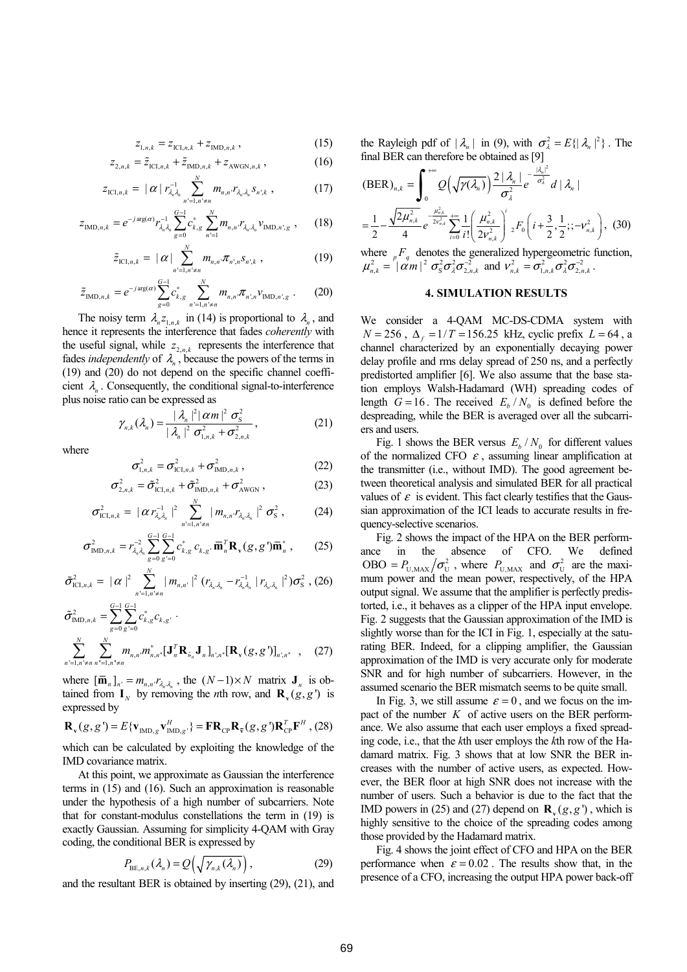$$
z_{1,n,k} = z_{\text{ICI},n,k} + z_{\text{IMD},n,k},\tag{15}
$$

$$
z_{2,n,k} = \tilde{z}_{\text{ICL},n,k} + \tilde{z}_{\text{IMD},n,k} + z_{\text{AWGN},n,k},\tag{16}
$$

$$
z_{\text{ICI},n,k} = |\alpha| r_{\lambda_n \lambda_n}^{-1} \sum_{n'=1,n'\neq n}^{N} m_{n,n} r_{\lambda_n \lambda_n} s_{n',k} , \qquad (17)
$$

$$
z_{\text{IMD},n,k} = e^{-j \arg(\alpha)} r_{\lambda_n \lambda_n}^{-1} \sum_{g=0}^{G-1} c_{k,g}^* \sum_{n'=1}^N m_{n,n} r_{\lambda_n, \lambda_n} v_{\text{IMD},n',g} , \qquad (18)
$$

$$
\tilde{z}_{\text{ICI},n,k} = |\alpha| \sum_{n'=1,n'\neq n}^{N} m_{n,n'} \pi_{n',n} s_{n',k} , \qquad (19)
$$

$$
\tilde{z}_{\text{IMD},n,k} = e^{-j\arg(\alpha)} \sum_{g=0}^{G-1} c_{k,g}^* \sum_{n'=1,n'=n}^N m_{n,n} \pi_{n',n} \nu_{\text{IMD},n',g} . \tag{20}
$$

The noisy term  $\lambda_{n} z_{1,n,k}$  in (14) is proportional to  $\lambda_{n}$ , and hence it represents the interference that fades *coherently* with the useful signal, while  $z_{2,n,k}$  represents the interference that fades *independently* of  $\lambda_n$ , because the powers of the terms in (19) and (20) do not depend on the specific channel coefficient  $\lambda_n$ . Consequently, the conditional signal-to-interference plus noise ratio can be expressed as

$$
\gamma_{n,k}(\lambda_n) = \frac{|\lambda_n|^2 |\alpha m|^2 \sigma_{\text{S}}^2}{|\lambda_n|^2 \sigma_{1,n,k}^2 + \sigma_{2,n,k}^2},
$$
 (21)

where  

$$
\sigma_{1,n,k}^2 = \sigma_{IC1,n,k}^2 + \sigma_{IMD,n,k}^2,
$$
 (22)

$$
\sigma_{2,n,k}^2 = \tilde{\sigma}_{\text{ICL},n,k}^2 + \tilde{\sigma}_{\text{IMD},n,k}^2 + \sigma_{\text{AWGN}}^2 \,, \tag{23}
$$

$$
\sigma_{\mathrm{ICI},n,k}^2 = |\alpha r_{\lambda_n \lambda_n}^{-1}|^2 \sum_{n'=1,n'=n}^N |m_{n,n} r_{\lambda_n \lambda_n}|^2 \sigma_s^2 , \qquad (24)
$$

$$
\sigma_{\text{IMD},n,k}^2 = r_{\lambda_n \lambda_n}^{-2} \sum_{g=0}^{G-1} \sum_{g'=0}^{G-1} c_{k,g}^* c_{k,g'} \overline{\mathbf{m}}_n^T \mathbf{R}_{\mathbf{v}}(g,g') \overline{\mathbf{m}}_n^*,
$$
 (25)

$$
\tilde{\sigma}_{\text{IC1},n,k}^2 = |\alpha|^2 \sum_{n'=1,n'\neq n}^N |m_{n,n'}|^2 (r_{\lambda_n,\lambda_n} - r_{\lambda_n,\lambda_n}^{-1} |r_{\lambda_n,\lambda_n}|^2) \sigma_s^2 , (26)
$$

$$
\tilde{\sigma}_{\text{IMD},n,k}^{2} = \sum_{g=0}^{G-1} \sum_{g'=0}^{G-1} c_{k,g}^{*} c_{k,g'} \cdot \newline \sum_{n'=1,n'\neq n}^{N} \sum_{n''=1,n''\neq n}^{N} m_{n,n} m_{n,n}^{*} [\mathbf{J}_{n}^{T} \mathbf{R}_{\hat{s}_{n}} \mathbf{J}_{n}]_{n',n''} [\mathbf{R}_{\mathbf{v}}(g,g')]_{n',n''} , \quad (27)
$$

where  $[\mathbf{\overline{m}}_n]_{n'} = m_{n,n'} r_{\lambda_n, \lambda_n}$ , the  $(N-1) \times N$  matrix  $\mathbf{J}_n$  is obtained from  $\mathbf{I}_N$  by removing the *n*th row, and  $\mathbf{R}_V(g, g')$  is expressed by

$$
\mathbf{R}_{\mathbf{v}}(g,g') = E\{\mathbf{v}_{\text{IMD},g}\mathbf{v}_{\text{IMD},g'}^{H}\} = \mathbf{F} \mathbf{R}_{\text{CP}} \mathbf{R}_{\overline{\mathbf{v}}}(g,g') \mathbf{R}_{\text{CP}}^{T} \mathbf{F}^{H}, (28)
$$

which can be calculated by exploiting the knowledge of the IMD covariance matrix.

At this point, we approximate as Gaussian the interference terms in (15) and (16). Such an approximation is reasonable under the hypothesis of a high number of subcarriers. Note that for constant-modulus constellations the term in (19) is exactly Gaussian. Assuming for simplicity 4-QAM with Gray coding, the conditional BER is expressed by

$$
P_{\mathrm{BE},n,k}(\lambda_n) = Q\big(\sqrt{\gamma_{n,k}(\lambda_n)}\big),\tag{29}
$$

and the resultant BER is obtained by inserting (29), (21), and

the Rayleigh pdf of  $|\lambda_n|$  in (9), with  $\sigma_\lambda^2 = E(|\lambda_n|^2)$ . The final BER can therefore be obtained as [9]

$$
\text{(BER)}_{n,k} = \int_0^{+\infty} Q\left(\sqrt{\gamma(\lambda_n)}\right) \frac{2 |\lambda_n|}{\sigma_2^2} e^{-\frac{|\lambda_n|^2}{\sigma_2^2}} d |\lambda_n|
$$

$$
= \frac{1}{2} - \frac{\sqrt{2\mu_{n,k}^2}}{4} e^{-\frac{\mu_{n,k}^2}{2\nu_{n,k}^2}} \sum_{i=0}^{+\infty} \frac{1}{i!} \left(\frac{\mu_{n,k}^2}{2\nu_{n,k}^2}\right)^i {}_2F_0\left(i + \frac{3}{2}, \frac{1}{2}; -\nu_{n,k}^2\right), \tag{30}
$$

where  $\binom{p}{q}$  denotes the generalized hypergeometric function,  $\mu_{n,k}^2 = \int |\vec{\alpha}m|^2 \sigma_s^2 \sigma_{\lambda}^2 \sigma_{2,n,k}^2$  and  $\nu_{n,k}^2 = \sigma_{1,n,k}^2 \sigma_{\lambda}^2 \sigma_{2,n,k}^2$ .

# **4. SIMULATION RESULTS**

We consider a 4-QAM MC-DS-CDMA system with  $N = 256$ ,  $\Delta_f = 1/T = 156.25$  kHz, cyclic prefix  $L = 64$ , a channel characterized by an exponentially decaying power delay profile and rms delay spread of 250 ns, and a perfectly predistorted amplifier [6]. We also assume that the base station employs Walsh-Hadamard (WH) spreading codes of length  $G = 16$ . The received  $E_b / N_0$  is defined before the despreading, while the BER is averaged over all the subcarriers and users.

Fig. 1 shows the BER versus  $E_b / N_0$  for different values of the normalized CFO  $\varepsilon$ , assuming linear amplification at the transmitter (i.e., without IMD). The good agreement between theoretical analysis and simulated BER for all practical values of  $\varepsilon$  is evident. This fact clearly testifies that the Gaussian approximation of the ICI leads to accurate results in frequency-selective scenarios.

Fig. 2 shows the impact of the HPA on the BER performance in the absence of CFO. We defined OBO =  $P_{\text{U,MAX}} / \sigma_{\text{U}}^2$ , where  $P_{\text{U,MAX}}$  and  $\sigma_{\text{U}}^2$  are the maximum power and the mean power, respectively, of the HPA output signal. We assume that the amplifier is perfectly predistorted, i.e., it behaves as a clipper of the HPA input envelope. Fig. 2 suggests that the Gaussian approximation of the IMD is slightly worse than for the ICI in Fig. 1, especially at the saturating BER. Indeed, for a clipping amplifier, the Gaussian approximation of the IMD is very accurate only for moderate SNR and for high number of subcarriers. However, in the assumed scenario the BER mismatch seems to be quite small.

In Fig. 3, we still assume  $\varepsilon = 0$ , and we focus on the impact of the number *K* of active users on the BER performance. We also assume that each user employs a fixed spreading code, i.e., that the *k*th user employs the *k*th row of the Hadamard matrix. Fig. 3 shows that at low SNR the BER increases with the number of active users, as expected. However, the BER floor at high SNR does not increase with the number of users. Such a behavior is due to the fact that the IMD powers in (25) and (27) depend on  $\mathbf{R}_x(g, g')$ , which is highly sensitive to the choice of the spreading codes among those provided by the Hadamard matrix.

Fig. 4 shows the joint effect of CFO and HPA on the BER performance when  $\varepsilon = 0.02$ . The results show that, in the presence of a CFO, increasing the output HPA power back-off